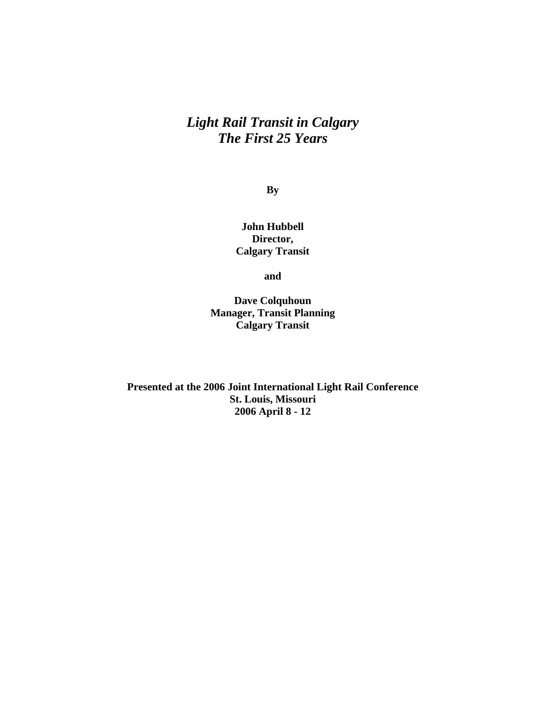# *Light Rail Transit in Calgary The First 25 Years*

**By** 

**John Hubbell Director, Calgary Transit** 

**and** 

**Dave Colquhoun Manager, Transit Planning Calgary Transit** 

**Presented at the 2006 Joint International Light Rail Conference St. Louis, Missouri 2006 April 8 - 12**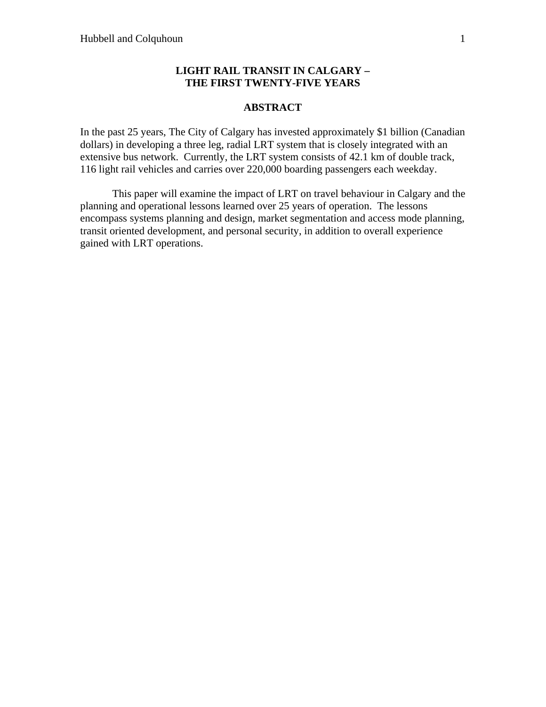## **LIGHT RAIL TRANSIT IN CALGARY – THE FIRST TWENTY-FIVE YEARS**

#### **ABSTRACT**

In the past 25 years, The City of Calgary has invested approximately \$1 billion (Canadian dollars) in developing a three leg, radial LRT system that is closely integrated with an extensive bus network. Currently, the LRT system consists of 42.1 km of double track, 116 light rail vehicles and carries over 220,000 boarding passengers each weekday.

 This paper will examine the impact of LRT on travel behaviour in Calgary and the planning and operational lessons learned over 25 years of operation. The lessons encompass systems planning and design, market segmentation and access mode planning, transit oriented development, and personal security, in addition to overall experience gained with LRT operations.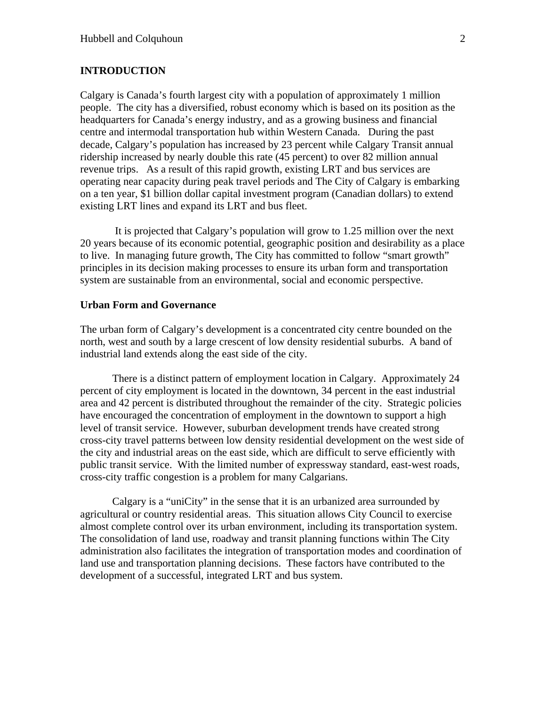#### **INTRODUCTION**

Calgary is Canada's fourth largest city with a population of approximately 1 million people. The city has a diversified, robust economy which is based on its position as the headquarters for Canada's energy industry, and as a growing business and financial centre and intermodal transportation hub within Western Canada. During the past decade, Calgary's population has increased by 23 percent while Calgary Transit annual ridership increased by nearly double this rate (45 percent) to over 82 million annual revenue trips. As a result of this rapid growth, existing LRT and bus services are operating near capacity during peak travel periods and The City of Calgary is embarking on a ten year, \$1 billion dollar capital investment program (Canadian dollars) to extend existing LRT lines and expand its LRT and bus fleet.

 It is projected that Calgary's population will grow to 1.25 million over the next 20 years because of its economic potential, geographic position and desirability as a place to live. In managing future growth, The City has committed to follow "smart growth" principles in its decision making processes to ensure its urban form and transportation system are sustainable from an environmental, social and economic perspective.

#### **Urban Form and Governance**

The urban form of Calgary's development is a concentrated city centre bounded on the north, west and south by a large crescent of low density residential suburbs. A band of industrial land extends along the east side of the city.

There is a distinct pattern of employment location in Calgary. Approximately 24 percent of city employment is located in the downtown, 34 percent in the east industrial area and 42 percent is distributed throughout the remainder of the city. Strategic policies have encouraged the concentration of employment in the downtown to support a high level of transit service. However, suburban development trends have created strong cross-city travel patterns between low density residential development on the west side of the city and industrial areas on the east side, which are difficult to serve efficiently with public transit service. With the limited number of expressway standard, east-west roads, cross-city traffic congestion is a problem for many Calgarians.

Calgary is a "uniCity" in the sense that it is an urbanized area surrounded by agricultural or country residential areas. This situation allows City Council to exercise almost complete control over its urban environment, including its transportation system. The consolidation of land use, roadway and transit planning functions within The City administration also facilitates the integration of transportation modes and coordination of land use and transportation planning decisions. These factors have contributed to the development of a successful, integrated LRT and bus system.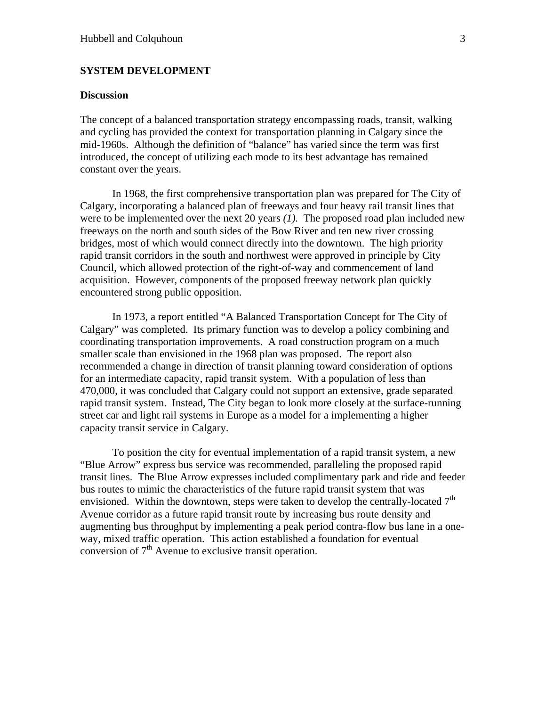#### **SYSTEM DEVELOPMENT**

#### **Discussion**

The concept of a balanced transportation strategy encompassing roads, transit, walking and cycling has provided the context for transportation planning in Calgary since the mid-1960s. Although the definition of "balance" has varied since the term was first introduced, the concept of utilizing each mode to its best advantage has remained constant over the years.

In 1968, the first comprehensive transportation plan was prepared for The City of Calgary, incorporating a balanced plan of freeways and four heavy rail transit lines that were to be implemented over the next 20 years *(1).* The proposed road plan included new freeways on the north and south sides of the Bow River and ten new river crossing bridges, most of which would connect directly into the downtown. The high priority rapid transit corridors in the south and northwest were approved in principle by City Council, which allowed protection of the right-of-way and commencement of land acquisition. However, components of the proposed freeway network plan quickly encountered strong public opposition.

In 1973, a report entitled "A Balanced Transportation Concept for The City of Calgary" was completed. Its primary function was to develop a policy combining and coordinating transportation improvements. A road construction program on a much smaller scale than envisioned in the 1968 plan was proposed. The report also recommended a change in direction of transit planning toward consideration of options for an intermediate capacity, rapid transit system. With a population of less than 470,000, it was concluded that Calgary could not support an extensive, grade separated rapid transit system. Instead, The City began to look more closely at the surface-running street car and light rail systems in Europe as a model for a implementing a higher capacity transit service in Calgary.

To position the city for eventual implementation of a rapid transit system, a new "Blue Arrow" express bus service was recommended, paralleling the proposed rapid transit lines. The Blue Arrow expresses included complimentary park and ride and feeder bus routes to mimic the characteristics of the future rapid transit system that was envisioned. Within the downtown, steps were taken to develop the centrally-located  $7<sup>th</sup>$ Avenue corridor as a future rapid transit route by increasing bus route density and augmenting bus throughput by implementing a peak period contra-flow bus lane in a oneway, mixed traffic operation. This action established a foundation for eventual conversion of  $7<sup>th</sup>$  Avenue to exclusive transit operation.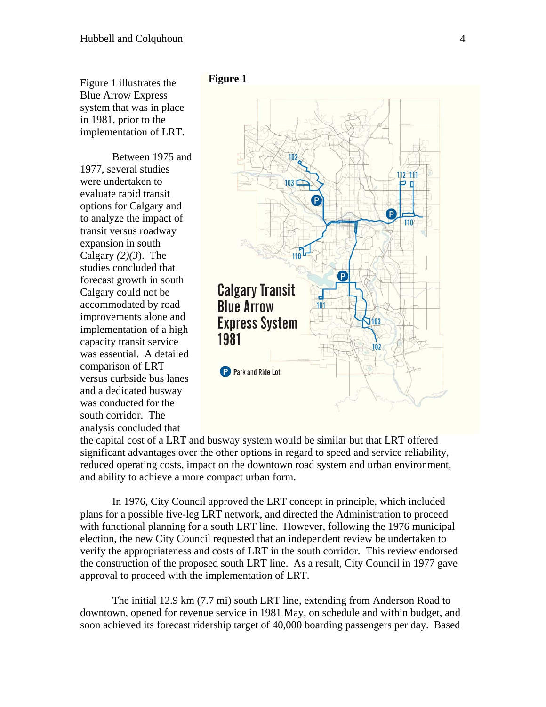Figure 1 illustrates the Blue Arrow Express system that was in place in 1981, prior to the implementation of LRT.

Between 1975 and 1977, several studies were undertaken to evaluate rapid transit options for Calgary and to analyze the impact of transit versus roadway expansion in south Calgary  $(2)(3)$ . The studies concluded that forecast growth in south Calgary could not be accommodated by road improvements alone and implementation of a high capacity transit service was essential. A detailed comparison of LRT versus curbside bus lanes and a dedicated busway was conducted for the south corridor. The analysis concluded that





the capital cost of a LRT and busway system would be similar but that LRT offered significant advantages over the other options in regard to speed and service reliability, reduced operating costs, impact on the downtown road system and urban environment, and ability to achieve a more compact urban form.

In 1976, City Council approved the LRT concept in principle, which included plans for a possible five-leg LRT network, and directed the Administration to proceed with functional planning for a south LRT line. However, following the 1976 municipal election, the new City Council requested that an independent review be undertaken to verify the appropriateness and costs of LRT in the south corridor. This review endorsed the construction of the proposed south LRT line. As a result, City Council in 1977 gave approval to proceed with the implementation of LRT.

The initial 12.9 km (7.7 mi) south LRT line, extending from Anderson Road to downtown, opened for revenue service in 1981 May, on schedule and within budget, and soon achieved its forecast ridership target of 40,000 boarding passengers per day. Based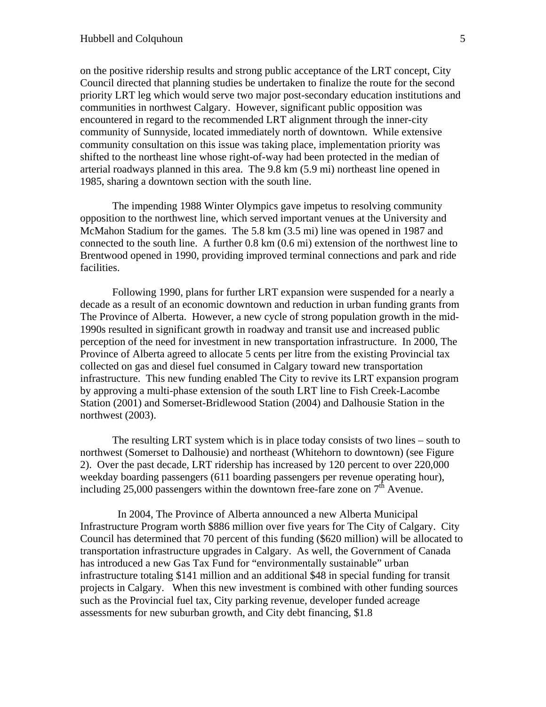on the positive ridership results and strong public acceptance of the LRT concept, City Council directed that planning studies be undertaken to finalize the route for the second priority LRT leg which would serve two major post-secondary education institutions and communities in northwest Calgary. However, significant public opposition was encountered in regard to the recommended LRT alignment through the inner-city community of Sunnyside, located immediately north of downtown. While extensive community consultation on this issue was taking place, implementation priority was shifted to the northeast line whose right-of-way had been protected in the median of arterial roadways planned in this area. The 9.8 km (5.9 mi) northeast line opened in 1985, sharing a downtown section with the south line.

The impending 1988 Winter Olympics gave impetus to resolving community opposition to the northwest line, which served important venues at the University and McMahon Stadium for the games. The 5.8 km (3.5 mi) line was opened in 1987 and connected to the south line. A further 0.8 km (0.6 mi) extension of the northwest line to Brentwood opened in 1990, providing improved terminal connections and park and ride facilities.

Following 1990, plans for further LRT expansion were suspended for a nearly a decade as a result of an economic downtown and reduction in urban funding grants from The Province of Alberta. However, a new cycle of strong population growth in the mid-1990s resulted in significant growth in roadway and transit use and increased public perception of the need for investment in new transportation infrastructure. In 2000, The Province of Alberta agreed to allocate 5 cents per litre from the existing Provincial tax collected on gas and diesel fuel consumed in Calgary toward new transportation infrastructure. This new funding enabled The City to revive its LRT expansion program by approving a multi-phase extension of the south LRT line to Fish Creek-Lacombe Station (2001) and Somerset-Bridlewood Station (2004) and Dalhousie Station in the northwest (2003).

The resulting LRT system which is in place today consists of two lines – south to northwest (Somerset to Dalhousie) and northeast (Whitehorn to downtown) (see Figure 2). Over the past decade, LRT ridership has increased by 120 percent to over 220,000 weekday boarding passengers (611 boarding passengers per revenue operating hour), including 25,000 passengers within the downtown free-fare zone on  $7<sup>th</sup>$  Avenue.

 In 2004, The Province of Alberta announced a new Alberta Municipal Infrastructure Program worth \$886 million over five years for The City of Calgary. City Council has determined that 70 percent of this funding (\$620 million) will be allocated to transportation infrastructure upgrades in Calgary. As well, the Government of Canada has introduced a new Gas Tax Fund for "environmentally sustainable" urban infrastructure totaling \$141 million and an additional \$48 in special funding for transit projects in Calgary. When this new investment is combined with other funding sources such as the Provincial fuel tax, City parking revenue, developer funded acreage assessments for new suburban growth, and City debt financing, \$1.8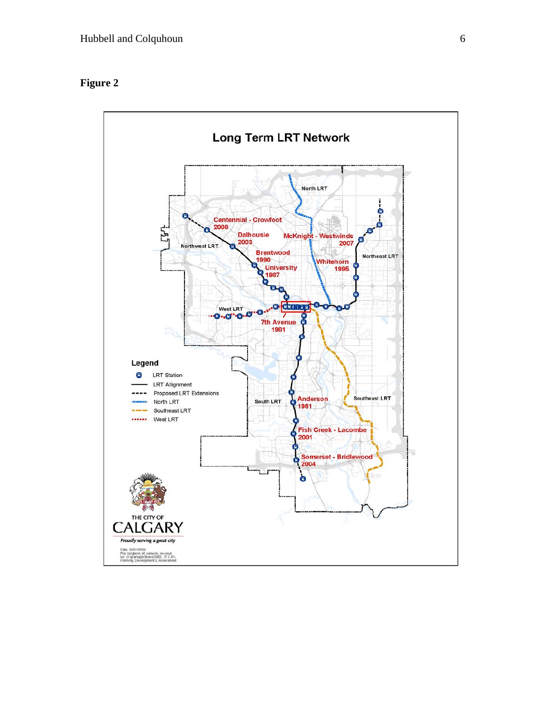## **Figure 2**

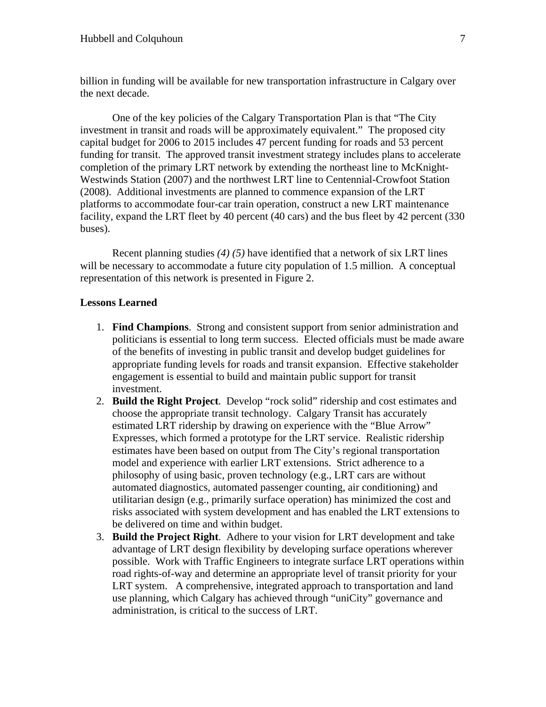billion in funding will be available for new transportation infrastructure in Calgary over the next decade.

One of the key policies of the Calgary Transportation Plan is that "The City investment in transit and roads will be approximately equivalent." The proposed city capital budget for 2006 to 2015 includes 47 percent funding for roads and 53 percent funding for transit. The approved transit investment strategy includes plans to accelerate completion of the primary LRT network by extending the northeast line to McKnight-Westwinds Station (2007) and the northwest LRT line to Centennial-Crowfoot Station (2008). Additional investments are planned to commence expansion of the LRT platforms to accommodate four-car train operation, construct a new LRT maintenance facility, expand the LRT fleet by 40 percent (40 cars) and the bus fleet by 42 percent (330 buses).

Recent planning studies *(4) (5)* have identified that a network of six LRT lines will be necessary to accommodate a future city population of 1.5 million. A conceptual representation of this network is presented in Figure 2.

#### **Lessons Learned**

- 1. **Find Champions**. Strong and consistent support from senior administration and politicians is essential to long term success. Elected officials must be made aware of the benefits of investing in public transit and develop budget guidelines for appropriate funding levels for roads and transit expansion. Effective stakeholder engagement is essential to build and maintain public support for transit investment.
- 2. **Build the Right Project**. Develop "rock solid" ridership and cost estimates and choose the appropriate transit technology. Calgary Transit has accurately estimated LRT ridership by drawing on experience with the "Blue Arrow" Expresses, which formed a prototype for the LRT service. Realistic ridership estimates have been based on output from The City's regional transportation model and experience with earlier LRT extensions. Strict adherence to a philosophy of using basic, proven technology (e.g., LRT cars are without automated diagnostics, automated passenger counting, air conditioning) and utilitarian design (e.g., primarily surface operation) has minimized the cost and risks associated with system development and has enabled the LRT extensions to be delivered on time and within budget.
- 3. **Build the Project Right**. Adhere to your vision for LRT development and take advantage of LRT design flexibility by developing surface operations wherever possible. Work with Traffic Engineers to integrate surface LRT operations within road rights-of-way and determine an appropriate level of transit priority for your LRT system. A comprehensive, integrated approach to transportation and land use planning, which Calgary has achieved through "uniCity" governance and administration, is critical to the success of LRT.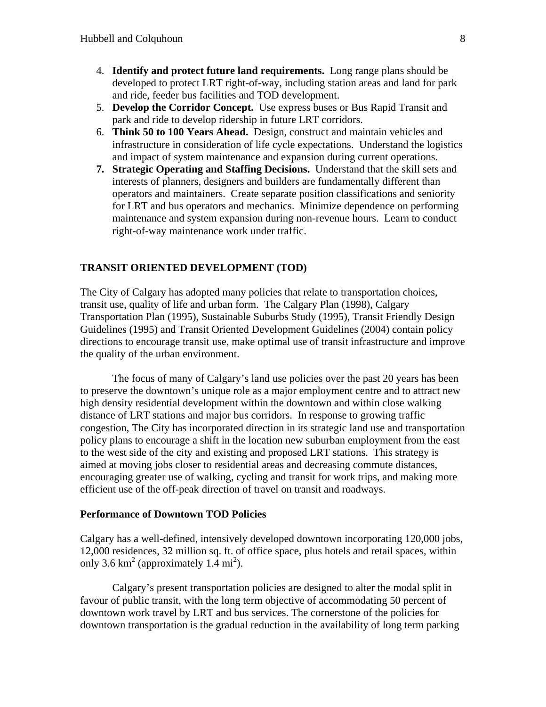- 4. **Identify and protect future land requirements.** Long range plans should be developed to protect LRT right-of-way, including station areas and land for park and ride, feeder bus facilities and TOD development.
- 5. **Develop the Corridor Concept.** Use express buses or Bus Rapid Transit and park and ride to develop ridership in future LRT corridors.
- 6. **Think 50 to 100 Years Ahead.** Design, construct and maintain vehicles and infrastructure in consideration of life cycle expectations. Understand the logistics and impact of system maintenance and expansion during current operations.
- **7. Strategic Operating and Staffing Decisions.** Understand that the skill sets and interests of planners, designers and builders are fundamentally different than operators and maintainers. Create separate position classifications and seniority for LRT and bus operators and mechanics. Minimize dependence on performing maintenance and system expansion during non-revenue hours. Learn to conduct right-of-way maintenance work under traffic.

#### **TRANSIT ORIENTED DEVELOPMENT (TOD)**

The City of Calgary has adopted many policies that relate to transportation choices, transit use, quality of life and urban form. The Calgary Plan (1998), Calgary Transportation Plan (1995), Sustainable Suburbs Study (1995), Transit Friendly Design Guidelines (1995) and Transit Oriented Development Guidelines (2004) contain policy directions to encourage transit use, make optimal use of transit infrastructure and improve the quality of the urban environment.

The focus of many of Calgary's land use policies over the past 20 years has been to preserve the downtown's unique role as a major employment centre and to attract new high density residential development within the downtown and within close walking distance of LRT stations and major bus corridors. In response to growing traffic congestion, The City has incorporated direction in its strategic land use and transportation policy plans to encourage a shift in the location new suburban employment from the east to the west side of the city and existing and proposed LRT stations. This strategy is aimed at moving jobs closer to residential areas and decreasing commute distances, encouraging greater use of walking, cycling and transit for work trips, and making more efficient use of the off-peak direction of travel on transit and roadways.

#### **Performance of Downtown TOD Policies**

Calgary has a well-defined, intensively developed downtown incorporating 120,000 jobs, 12,000 residences, 32 million sq. ft. of office space, plus hotels and retail spaces, within only 3.6 km<sup>2</sup> (approximately  $1.\overline{4}$  mi<sup>2</sup>).

Calgary's present transportation policies are designed to alter the modal split in favour of public transit, with the long term objective of accommodating 50 percent of downtown work travel by LRT and bus services. The cornerstone of the policies for downtown transportation is the gradual reduction in the availability of long term parking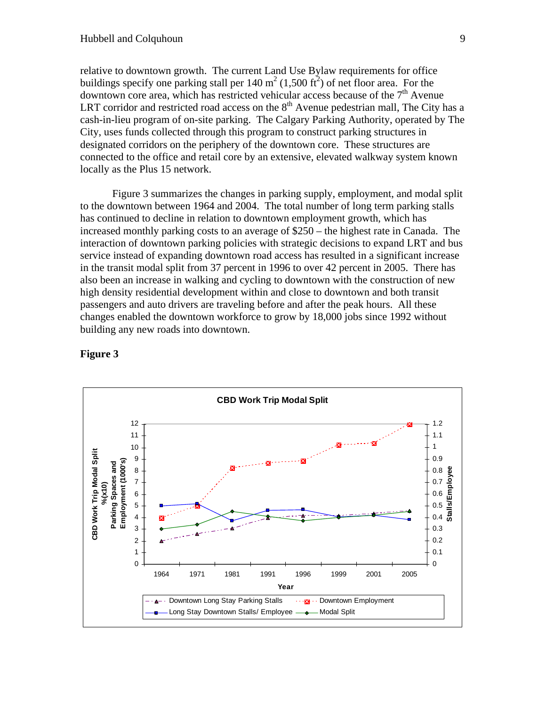relative to downtown growth. The current Land Use Bylaw requirements for office buildings specify one parking stall per  $140 \text{ m}^2$  (1,500 ft<sup>2</sup>) of net floor area. For the downtown core area, which has restricted vehicular access because of the  $7<sup>th</sup>$  Avenue LRT corridor and restricted road access on the  $8<sup>th</sup>$  Avenue pedestrian mall, The City has a cash-in-lieu program of on-site parking. The Calgary Parking Authority, operated by The City, uses funds collected through this program to construct parking structures in designated corridors on the periphery of the downtown core. These structures are connected to the office and retail core by an extensive, elevated walkway system known locally as the Plus 15 network.

 Figure 3 summarizes the changes in parking supply, employment, and modal split to the downtown between 1964 and 2004. The total number of long term parking stalls has continued to decline in relation to downtown employment growth, which has increased monthly parking costs to an average of \$250 – the highest rate in Canada. The interaction of downtown parking policies with strategic decisions to expand LRT and bus service instead of expanding downtown road access has resulted in a significant increase in the transit modal split from 37 percent in 1996 to over 42 percent in 2005. There has also been an increase in walking and cycling to downtown with the construction of new high density residential development within and close to downtown and both transit passengers and auto drivers are traveling before and after the peak hours. All these changes enabled the downtown workforce to grow by 18,000 jobs since 1992 without building any new roads into downtown.



#### **Figure 3**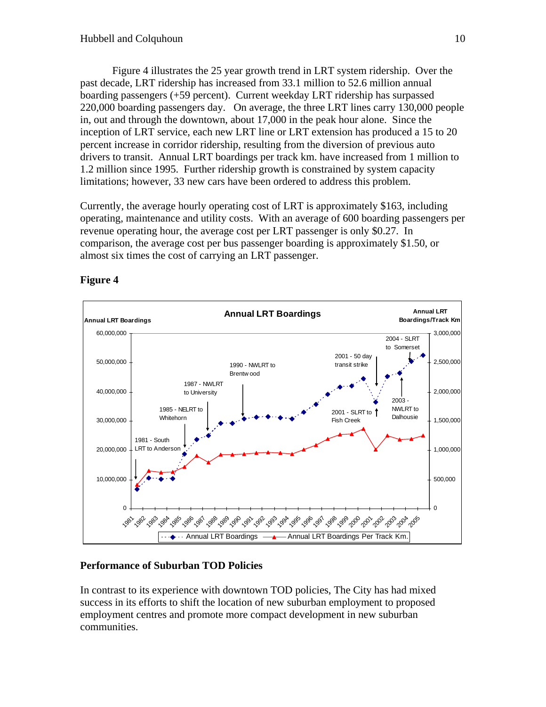Figure 4 illustrates the 25 year growth trend in LRT system ridership. Over the past decade, LRT ridership has increased from 33.1 million to 52.6 million annual boarding passengers (+59 percent). Current weekday LRT ridership has surpassed 220,000 boarding passengers day. On average, the three LRT lines carry 130,000 people in, out and through the downtown, about 17,000 in the peak hour alone. Since the inception of LRT service, each new LRT line or LRT extension has produced a 15 to 20 percent increase in corridor ridership, resulting from the diversion of previous auto drivers to transit. Annual LRT boardings per track km. have increased from 1 million to 1.2 million since 1995. Further ridership growth is constrained by system capacity limitations; however, 33 new cars have been ordered to address this problem.

Currently, the average hourly operating cost of LRT is approximately \$163, including operating, maintenance and utility costs. With an average of 600 boarding passengers per revenue operating hour, the average cost per LRT passenger is only \$0.27. In comparison, the average cost per bus passenger boarding is approximately \$1.50, or almost six times the cost of carrying an LRT passenger.



## **Figure 4**

## **Performance of Suburban TOD Policies**

In contrast to its experience with downtown TOD policies, The City has had mixed success in its efforts to shift the location of new suburban employment to proposed employment centres and promote more compact development in new suburban communities.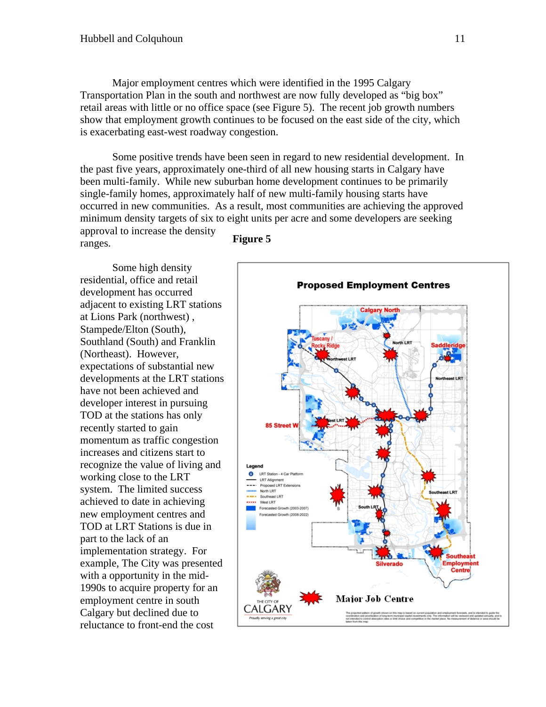Major employment centres which were identified in the 1995 Calgary Transportation Plan in the south and northwest are now fully developed as "big box" retail areas with little or no office space (see Figure 5). The recent job growth numbers show that employment growth continues to be focused on the east side of the city, which is exacerbating east-west roadway congestion.

Some positive trends have been seen in regard to new residential development. In the past five years, approximately one-third of all new housing starts in Calgary have been multi-family. While new suburban home development continues to be primarily single-family homes, approximately half of new multi-family housing starts have occurred in new communities. As a result, most communities are achieving the approved minimum density targets of six to eight units per acre and some developers are seeking approval to increase the density

ranges.

Some high density residential, office and retail development has occurred adjacent to existing LRT stations at Lions Park (northwest) , Stampede/Elton (South), Southland (South) and Franklin (Northeast). However, expectations of substantial new developments at the LRT stations have not been achieved and developer interest in pursuing TOD at the stations has only recently started to gain momentum as traffic congestion increases and citizens start to recognize the value of living and working close to the LRT system. The limited success achieved to date in achieving new employment centres and TOD at LRT Stations is due in part to the lack of an implementation strategy. For example, The City was presented with a opportunity in the mid-1990s to acquire property for an employment centre in south Calgary but declined due to reluctance to front-end the cost



#### **Figure 5**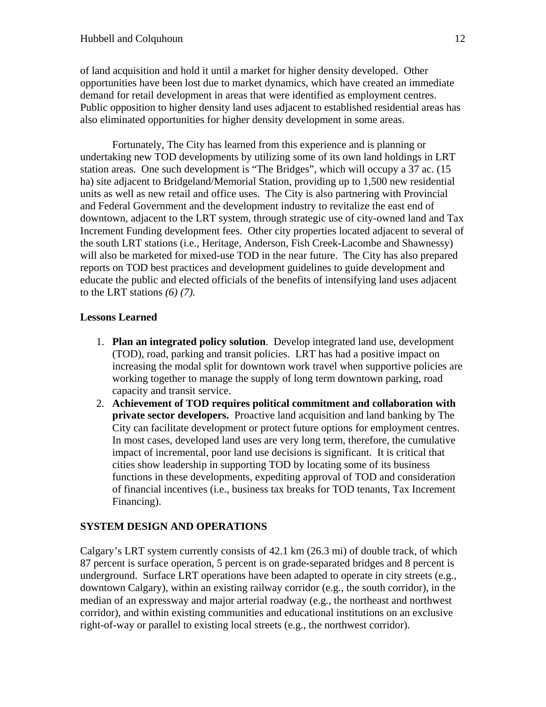of land acquisition and hold it until a market for higher density developed. Other opportunities have been lost due to market dynamics, which have created an immediate demand for retail development in areas that were identified as employment centres. Public opposition to higher density land uses adjacent to established residential areas has also eliminated opportunities for higher density development in some areas.

Fortunately, The City has learned from this experience and is planning or undertaking new TOD developments by utilizing some of its own land holdings in LRT station areas. One such development is "The Bridges", which will occupy a 37 ac. (15 ha) site adjacent to Bridgeland/Memorial Station, providing up to 1,500 new residential units as well as new retail and office uses. The City is also partnering with Provincial and Federal Government and the development industry to revitalize the east end of downtown, adjacent to the LRT system, through strategic use of city-owned land and Tax Increment Funding development fees. Other city properties located adjacent to several of the south LRT stations (i.e., Heritage, Anderson, Fish Creek-Lacombe and Shawnessy) will also be marketed for mixed-use TOD in the near future. The City has also prepared reports on TOD best practices and development guidelines to guide development and educate the public and elected officials of the benefits of intensifying land uses adjacent to the LRT stations *(6) (7).*

## **Lessons Learned**

- 1. **Plan an integrated policy solution**. Develop integrated land use, development (TOD), road, parking and transit policies. LRT has had a positive impact on increasing the modal split for downtown work travel when supportive policies are working together to manage the supply of long term downtown parking, road capacity and transit service.
- 2. **Achievement of TOD requires political commitment and collaboration with private sector developers.** Proactive land acquisition and land banking by The City can facilitate development or protect future options for employment centres. In most cases, developed land uses are very long term, therefore, the cumulative impact of incremental, poor land use decisions is significant. It is critical that cities show leadership in supporting TOD by locating some of its business functions in these developments, expediting approval of TOD and consideration of financial incentives (i.e., business tax breaks for TOD tenants, Tax Increment Financing).

## **SYSTEM DESIGN AND OPERATIONS**

Calgary's LRT system currently consists of 42.1 km (26.3 mi) of double track, of which 87 percent is surface operation, 5 percent is on grade-separated bridges and 8 percent is underground. Surface LRT operations have been adapted to operate in city streets (e.g., downtown Calgary), within an existing railway corridor (e.g., the south corridor), in the median of an expressway and major arterial roadway (e.g., the northeast and northwest corridor), and within existing communities and educational institutions on an exclusive right-of-way or parallel to existing local streets (e.g., the northwest corridor).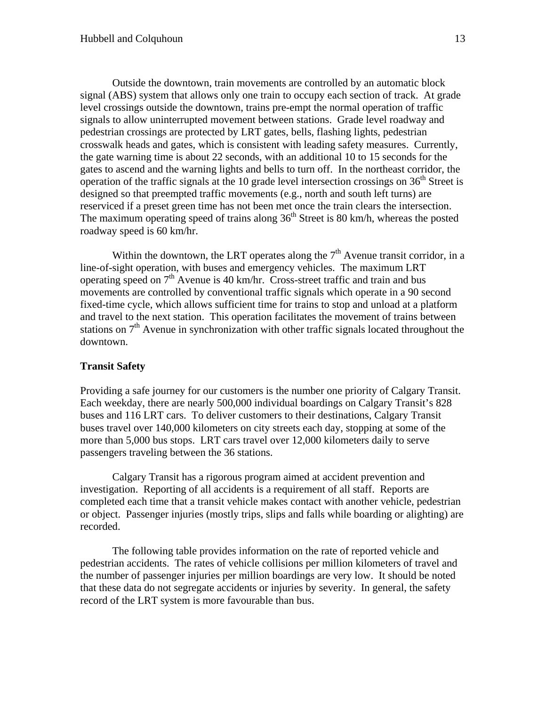Outside the downtown, train movements are controlled by an automatic block signal (ABS) system that allows only one train to occupy each section of track. At grade level crossings outside the downtown, trains pre-empt the normal operation of traffic signals to allow uninterrupted movement between stations. Grade level roadway and pedestrian crossings are protected by LRT gates, bells, flashing lights, pedestrian crosswalk heads and gates, which is consistent with leading safety measures. Currently, the gate warning time is about 22 seconds, with an additional 10 to 15 seconds for the gates to ascend and the warning lights and bells to turn off. In the northeast corridor, the operation of the traffic signals at the 10 grade level intersection crossings on  $36<sup>th</sup>$  Street is designed so that preempted traffic movements (e.g., north and south left turns) are reserviced if a preset green time has not been met once the train clears the intersection. The maximum operating speed of trains along  $36<sup>th</sup>$  Street is 80 km/h, whereas the posted roadway speed is 60 km/hr.

Within the downtown, the LRT operates along the  $7<sup>th</sup>$  Avenue transit corridor, in a line-of-sight operation, with buses and emergency vehicles. The maximum LRT operating speed on  $7<sup>th</sup>$  Avenue is 40 km/hr. Cross-street traffic and train and bus movements are controlled by conventional traffic signals which operate in a 90 second fixed-time cycle, which allows sufficient time for trains to stop and unload at a platform and travel to the next station. This operation facilitates the movement of trains between stations on  $7<sup>th</sup>$  Avenue in synchronization with other traffic signals located throughout the downtown.

#### **Transit Safety**

Providing a safe journey for our customers is the number one priority of Calgary Transit. Each weekday, there are nearly 500,000 individual boardings on Calgary Transit's 828 buses and 116 LRT cars. To deliver customers to their destinations, Calgary Transit buses travel over 140,000 kilometers on city streets each day, stopping at some of the more than 5,000 bus stops. LRT cars travel over 12,000 kilometers daily to serve passengers traveling between the 36 stations.

Calgary Transit has a rigorous program aimed at accident prevention and investigation. Reporting of all accidents is a requirement of all staff. Reports are completed each time that a transit vehicle makes contact with another vehicle, pedestrian or object. Passenger injuries (mostly trips, slips and falls while boarding or alighting) are recorded.

The following table provides information on the rate of reported vehicle and pedestrian accidents. The rates of vehicle collisions per million kilometers of travel and the number of passenger injuries per million boardings are very low. It should be noted that these data do not segregate accidents or injuries by severity. In general, the safety record of the LRT system is more favourable than bus.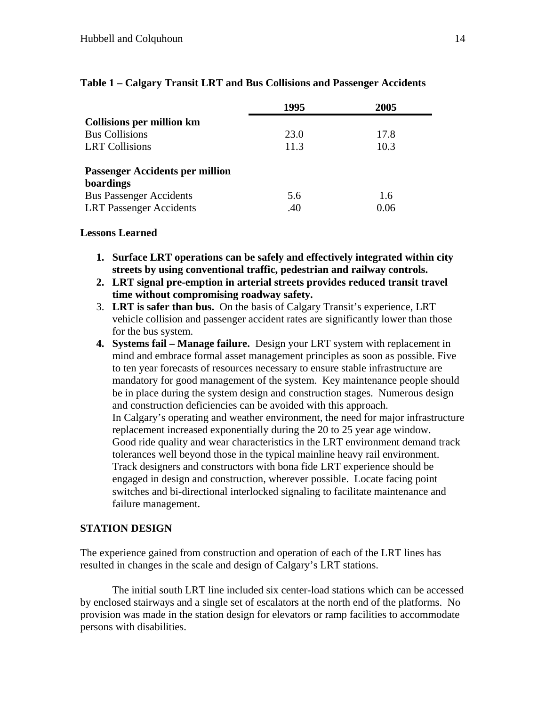|                                        | 1995 | 2005 |
|----------------------------------------|------|------|
| <b>Collisions per million km</b>       |      |      |
| <b>Bus Collisions</b>                  | 23.0 | 17.8 |
| <b>LRT</b> Collisions                  | 11.3 | 10.3 |
| <b>Passenger Accidents per million</b> |      |      |
| boardings                              |      |      |
| <b>Bus Passenger Accidents</b>         | 5.6  | 1.6  |
| <b>LRT</b> Passenger Accidents         | .40  | 0.06 |

## **Table 1 – Calgary Transit LRT and Bus Collisions and Passenger Accidents**

#### **Lessons Learned**

- **1. Surface LRT operations can be safely and effectively integrated within city streets by using conventional traffic, pedestrian and railway controls.**
- **2. LRT signal pre-emption in arterial streets provides reduced transit travel time without compromising roadway safety.**
- 3. **LRT is safer than bus.** On the basis of Calgary Transit's experience, LRT vehicle collision and passenger accident rates are significantly lower than those for the bus system.
- **4. Systems fail Manage failure.** Design your LRT system with replacement in mind and embrace formal asset management principles as soon as possible. Five to ten year forecasts of resources necessary to ensure stable infrastructure are mandatory for good management of the system. Key maintenance people should be in place during the system design and construction stages. Numerous design and construction deficiencies can be avoided with this approach. In Calgary's operating and weather environment, the need for major infrastructure replacement increased exponentially during the 20 to 25 year age window. Good ride quality and wear characteristics in the LRT environment demand track tolerances well beyond those in the typical mainline heavy rail environment. Track designers and constructors with bona fide LRT experience should be engaged in design and construction, wherever possible. Locate facing point switches and bi-directional interlocked signaling to facilitate maintenance and failure management.

## **STATION DESIGN**

The experience gained from construction and operation of each of the LRT lines has resulted in changes in the scale and design of Calgary's LRT stations.

The initial south LRT line included six center-load stations which can be accessed by enclosed stairways and a single set of escalators at the north end of the platforms. No provision was made in the station design for elevators or ramp facilities to accommodate persons with disabilities.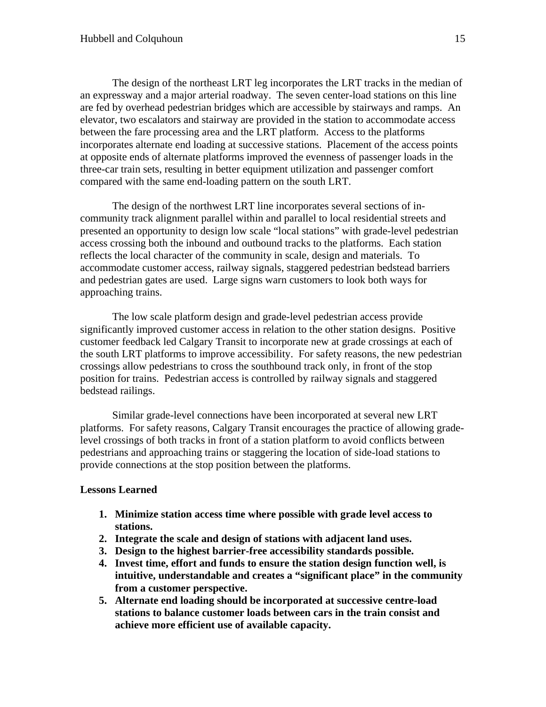The design of the northeast LRT leg incorporates the LRT tracks in the median of an expressway and a major arterial roadway. The seven center-load stations on this line are fed by overhead pedestrian bridges which are accessible by stairways and ramps. An elevator, two escalators and stairway are provided in the station to accommodate access between the fare processing area and the LRT platform. Access to the platforms incorporates alternate end loading at successive stations. Placement of the access points at opposite ends of alternate platforms improved the evenness of passenger loads in the three-car train sets, resulting in better equipment utilization and passenger comfort compared with the same end-loading pattern on the south LRT.

The design of the northwest LRT line incorporates several sections of incommunity track alignment parallel within and parallel to local residential streets and presented an opportunity to design low scale "local stations" with grade-level pedestrian access crossing both the inbound and outbound tracks to the platforms. Each station reflects the local character of the community in scale, design and materials. To accommodate customer access, railway signals, staggered pedestrian bedstead barriers and pedestrian gates are used. Large signs warn customers to look both ways for approaching trains.

The low scale platform design and grade-level pedestrian access provide significantly improved customer access in relation to the other station designs. Positive customer feedback led Calgary Transit to incorporate new at grade crossings at each of the south LRT platforms to improve accessibility. For safety reasons, the new pedestrian crossings allow pedestrians to cross the southbound track only, in front of the stop position for trains. Pedestrian access is controlled by railway signals and staggered bedstead railings.

Similar grade-level connections have been incorporated at several new LRT platforms. For safety reasons, Calgary Transit encourages the practice of allowing gradelevel crossings of both tracks in front of a station platform to avoid conflicts between pedestrians and approaching trains or staggering the location of side-load stations to provide connections at the stop position between the platforms.

## **Lessons Learned**

- **1. Minimize station access time where possible with grade level access to stations.**
- **2. Integrate the scale and design of stations with adjacent land uses.**
- **3. Design to the highest barrier-free accessibility standards possible.**
- **4. Invest time, effort and funds to ensure the station design function well, is intuitive, understandable and creates a "significant place" in the community from a customer perspective.**
- **5. Alternate end loading should be incorporated at successive centre-load stations to balance customer loads between cars in the train consist and achieve more efficient use of available capacity.**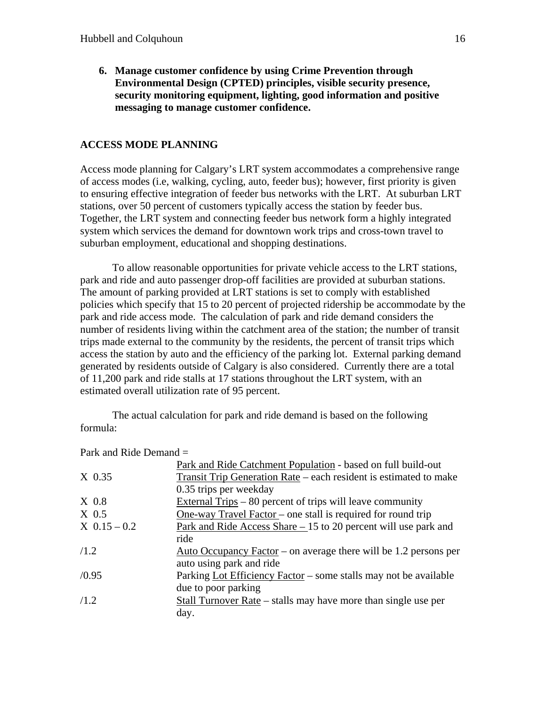**6. Manage customer confidence by using Crime Prevention through Environmental Design (CPTED) principles, visible security presence, security monitoring equipment, lighting, good information and positive messaging to manage customer confidence.** 

## **ACCESS MODE PLANNING**

Access mode planning for Calgary's LRT system accommodates a comprehensive range of access modes (i.e, walking, cycling, auto, feeder bus); however, first priority is given to ensuring effective integration of feeder bus networks with the LRT. At suburban LRT stations, over 50 percent of customers typically access the station by feeder bus. Together, the LRT system and connecting feeder bus network form a highly integrated system which services the demand for downtown work trips and cross-town travel to suburban employment, educational and shopping destinations.

To allow reasonable opportunities for private vehicle access to the LRT stations, park and ride and auto passenger drop-off facilities are provided at suburban stations. The amount of parking provided at LRT stations is set to comply with established policies which specify that 15 to 20 percent of projected ridership be accommodate by the park and ride access mode. The calculation of park and ride demand considers the number of residents living within the catchment area of the station; the number of transit trips made external to the community by the residents, the percent of transit trips which access the station by auto and the efficiency of the parking lot. External parking demand generated by residents outside of Calgary is also considered. Currently there are a total of 11,200 park and ride stalls at 17 stations throughout the LRT system, with an estimated overall utilization rate of 95 percent.

The actual calculation for park and ride demand is based on the following formula:

|                | Park and Ride Catchment Population - based on full build-out           |
|----------------|------------------------------------------------------------------------|
| $X$ 0.35       | Transit Trip Generation Rate – each resident is estimated to make      |
|                | 0.35 trips per weekday                                                 |
| $X$ 0.8        | External Trips – 80 percent of trips will leave community              |
| $X$ 0.5        | <u>One-way Travel Factor</u> – one stall is required for round trip    |
| $X$ 0.15 – 0.2 | <u>Park and Ride Access Share – 15</u> to 20 percent will use park and |
|                | ride                                                                   |
| /1.2           | Auto Occupancy Factor – on average there will be 1.2 persons per       |
|                | auto using park and ride                                               |
| /0.95          | Parking Lot Efficiency Factor – some stalls may not be available       |
|                | due to poor parking                                                    |
| /1.2           | Stall Turnover Rate – stalls may have more than single use per         |
|                | day.                                                                   |

#### Park and Ride Demand =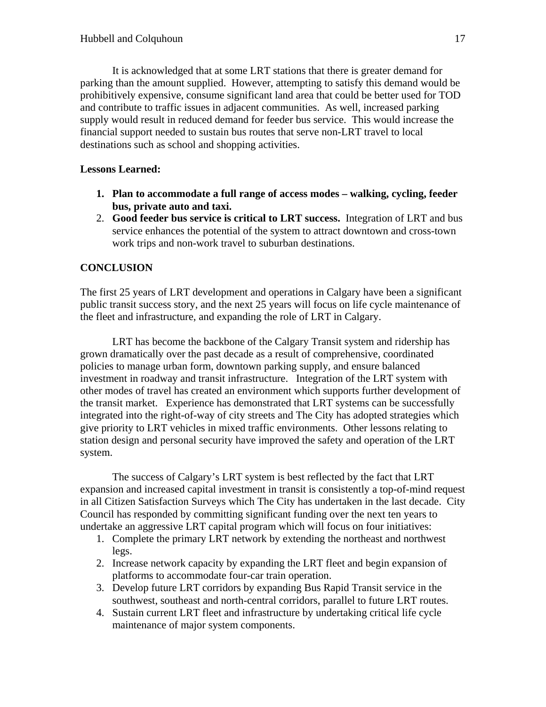It is acknowledged that at some LRT stations that there is greater demand for parking than the amount supplied. However, attempting to satisfy this demand would be prohibitively expensive, consume significant land area that could be better used for TOD and contribute to traffic issues in adjacent communities. As well, increased parking supply would result in reduced demand for feeder bus service. This would increase the financial support needed to sustain bus routes that serve non-LRT travel to local destinations such as school and shopping activities.

## **Lessons Learned:**

- **1. Plan to accommodate a full range of access modes walking, cycling, feeder bus, private auto and taxi.**
- 2. **Good feeder bus service is critical to LRT success.** Integration of LRT and bus service enhances the potential of the system to attract downtown and cross-town work trips and non-work travel to suburban destinations.

## **CONCLUSION**

The first 25 years of LRT development and operations in Calgary have been a significant public transit success story, and the next 25 years will focus on life cycle maintenance of the fleet and infrastructure, and expanding the role of LRT in Calgary.

LRT has become the backbone of the Calgary Transit system and ridership has grown dramatically over the past decade as a result of comprehensive, coordinated policies to manage urban form, downtown parking supply, and ensure balanced investment in roadway and transit infrastructure. Integration of the LRT system with other modes of travel has created an environment which supports further development of the transit market. Experience has demonstrated that LRT systems can be successfully integrated into the right-of-way of city streets and The City has adopted strategies which give priority to LRT vehicles in mixed traffic environments. Other lessons relating to station design and personal security have improved the safety and operation of the LRT system.

The success of Calgary's LRT system is best reflected by the fact that LRT expansion and increased capital investment in transit is consistently a top-of-mind request in all Citizen Satisfaction Surveys which The City has undertaken in the last decade. City Council has responded by committing significant funding over the next ten years to undertake an aggressive LRT capital program which will focus on four initiatives:

- 1. Complete the primary LRT network by extending the northeast and northwest legs.
- 2. Increase network capacity by expanding the LRT fleet and begin expansion of platforms to accommodate four-car train operation.
- 3. Develop future LRT corridors by expanding Bus Rapid Transit service in the southwest, southeast and north-central corridors, parallel to future LRT routes.
- 4. Sustain current LRT fleet and infrastructure by undertaking critical life cycle maintenance of major system components.